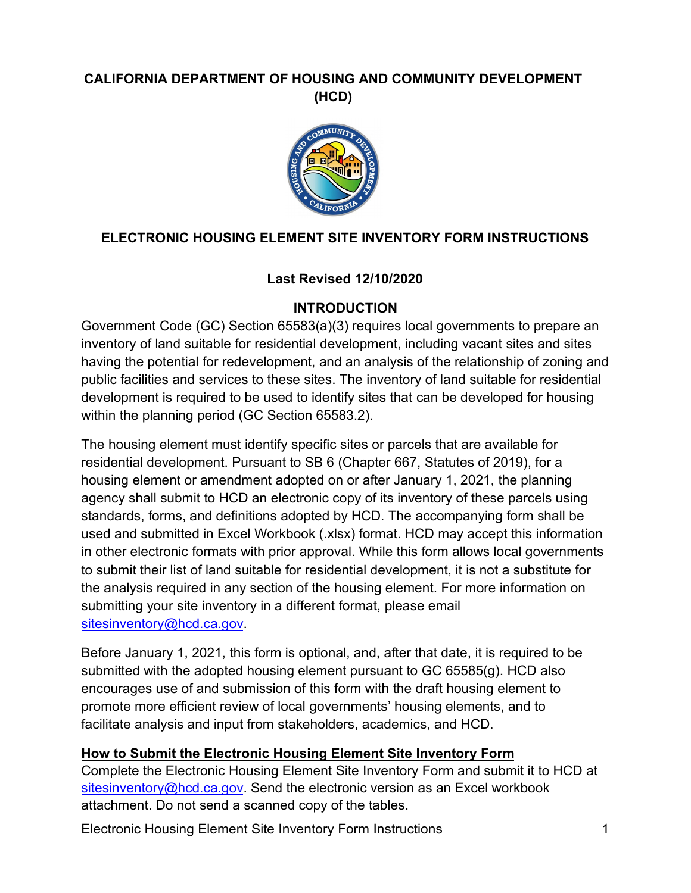# **CALIFORNIA DEPARTMENT OF HOUSING AND COMMUNITY DEVELOPMENT (HCD)**



# **ELECTRONIC HOUSING ELEMENT SITE INVENTORY FORM INSTRUCTIONS**

## **Last Revised 12/10/2020**

### **INTRODUCTION**

Government Code (GC) Section 65583(a)(3) requires local governments to prepare an inventory of land suitable for residential development, including vacant sites and sites having the potential for redevelopment, and an analysis of the relationship of zoning and public facilities and services to these sites. The inventory of land suitable for residential development is required to be used to identify sites that can be developed for housing within the planning period (GC Section 65583.2).

The housing element must identify specific sites or parcels that are available for residential development. Pursuant to SB 6 (Chapter 667, Statutes of 2019), for a housing element or amendment adopted on or after January 1, 2021, the planning agency shall submit to HCD an electronic copy of its inventory of these parcels using standards, forms, and definitions adopted by HCD. The accompanying form shall be used and submitted in Excel Workbook (.xlsx) format. HCD may accept this information in other electronic formats with prior approval. While this form allows local governments to submit their list of land suitable for residential development, it is not a substitute for the analysis required in any section of the housing element. For more information on submitting your site inventory in a different format, please email sitesinventory@hcd.ca.gov.

Before January 1, 2021, this form is optional, and, after that date, it is required to be submitted with the adopted housing element pursuant to GC 65585(g). HCD also encourages use of and submission of this form with the draft housing element to promote more efficient review of local governments' housing elements, and to facilitate analysis and input from stakeholders, academics, and HCD.

#### **How to Submit the Electronic Housing Element Site Inventory Form**

Complete the Electronic Housing Element Site Inventory Form and submit it to HCD at [sitesinventory@hcd.ca.gov.](mailto:sitesinventory@hcd.ca.gov) Send the electronic version as an Excel workbook attachment. Do not send a scanned copy of the tables.

Electronic Housing Element Site Inventory Form Instructions 1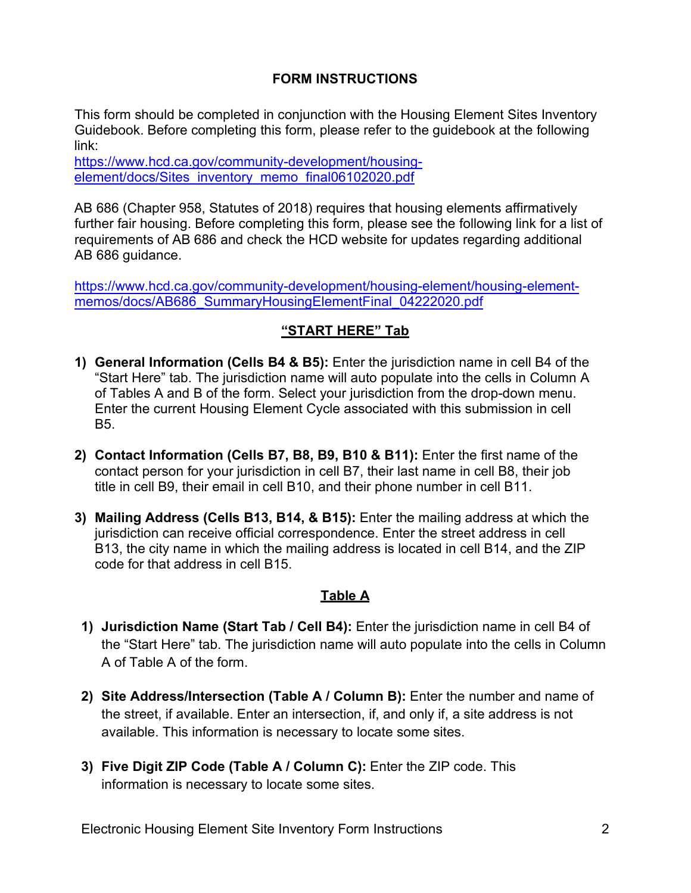## **FORM INSTRUCTIONS**

This form should be completed in conjunction with the Housing Element Sites Inventory Guidebook. Before completing this form, please refer to the guidebook at the following link:

https://www.hcd.ca.gov/community-development/housing[element/docs/Sites\\_inventory\\_memo\\_final06102020.pdf](https://www.hcd.ca.gov/community-development/housing-element/docs/Sites_inventory_memo_final06102020.pdf)

AB 686 (Chapter 958, Statutes of 2018) requires that housing elements affirmatively further fair housing. Before completing this form, please see the following link for a list of requirements of AB 686 and check the HCD website for updates regarding additional AB 686 guidance.

[https://www.hcd.ca.gov/community-development/housing-element/housing-element](https://www.hcd.ca.gov/community-development/housing-element/housing-element-memos/docs/ab686_summaryhousingelementfinal_04222020.pdf)memos/docs/AB686\_SummaryHousingElementFinal\_04222020.pdf

### **"START HERE" Tab**

- **1) General Information (Cells B4 & B5):** Enter the jurisdiction name in cell B4 of the "Start Here" tab. The jurisdiction name will auto populate into the cells in Column A of Tables A and B of the form. Select your jurisdiction from the drop-down menu. Enter the current Housing Element Cycle associated with this submission in cell B5.
- **2) Contact Information (Cells B7, B8, B9, B10 & B11):** Enter the first name of the contact person for your jurisdiction in cell B7, their last name in cell B8, their job title in cell B9, their email in cell B10, and their phone number in cell B11.
- **3) Mailing Address (Cells B13, B14, & B15):** Enter the mailing address at which the jurisdiction can receive official correspondence. Enter the street address in cell B13, the city name in which the mailing address is located in cell B14, and the ZIP code for that address in cell B15.

### **Table A**

- **1) Jurisdiction Name (Start Tab / Cell B4):** Enter the jurisdiction name in cell B4 of the "Start Here" tab. The jurisdiction name will auto populate into the cells in Column A of Table A of the form.
- **2) Site Address/Intersection (Table A / Column B):** Enter the number and name of the street, if available. Enter an intersection, if, and only if, a site address is not available. This information is necessary to locate some sites.
- **3) Five Digit ZIP Code (Table A / Column C):** Enter the ZIP code. This information is necessary to locate some sites.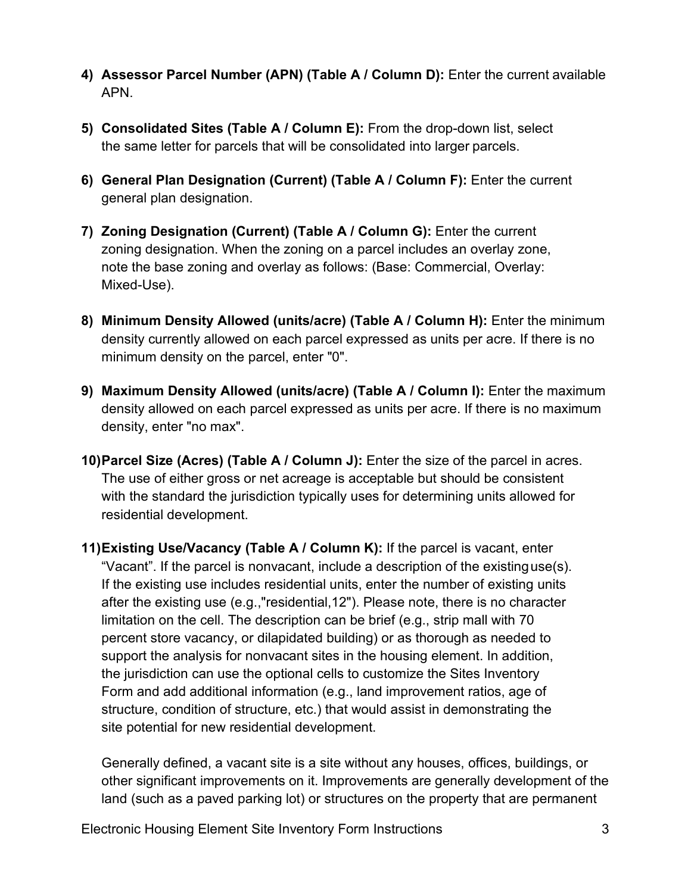- **4) Assessor Parcel Number (APN) (Table A / Column D):** Enter the current available APN.
- **5) Consolidated Sites (Table A / Column E):** From the drop-down list, select the same letter for parcels that will be consolidated into larger parcels.
- **6) General Plan Designation (Current) (Table A / Column F):** Enter the current general plan designation.
- **7) Zoning Designation (Current) (Table A / Column G):** Enter the current zoning designation. When the zoning on a parcel includes an overlay zone, note the base zoning and overlay as follows: (Base: Commercial, Overlay: Mixed-Use).
- **8) Minimum Density Allowed (units/acre) (Table A / Column H):** Enter the minimum density currently allowed on each parcel expressed as units per acre. If there is no minimum density on the parcel, enter "0".
- **9) Maximum Density Allowed (units/acre) (Table A / Column I):** Enter the maximum density allowed on each parcel expressed as units per acre. If there is no maximum density, enter "no max".
- **10)Parcel Size (Acres) (Table A / Column J):** Enter the size of the parcel in acres. The use of either gross or net acreage is acceptable but should be consistent with the standard the jurisdiction typically uses for determining units allowed for residential development.
- **11)Existing Use/Vacancy (Table A / Column K):** If the parcel is vacant, enter "Vacant". If the parcel is nonvacant, include a description of the existinguse(s). If the existing use includes residential units, enter the number of existing units after the existing use (e.g.,"residential,12"). Please note, there is no character limitation on the cell. The description can be brief (e.g., strip mall with 70 percent store vacancy, or dilapidated building) or as thorough as needed to support the analysis for nonvacant sites in the housing element. In addition, the jurisdiction can use the optional cells to customize the Sites Inventory Form and add additional information (e.g., land improvement ratios, age of structure, condition of structure, etc.) that would assist in demonstrating the site potential for new residential development.

Generally defined, a vacant site is a site without any houses, offices, buildings, or other significant improvements on it. Improvements are generally development of the land (such as a paved parking lot) or structures on the property that are permanent

Electronic Housing Element Site Inventory Form Instructions 3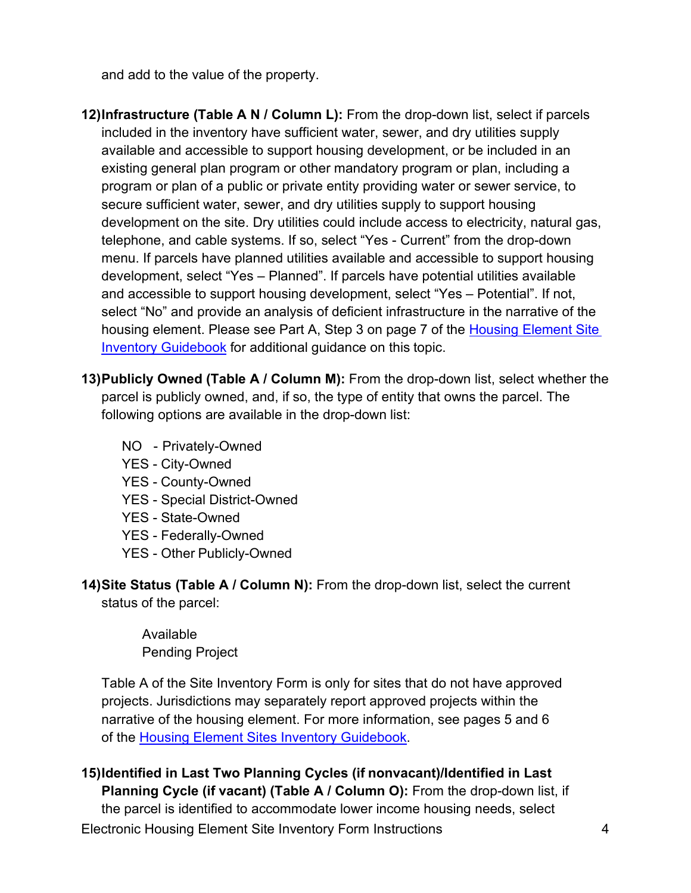and add to the value of the property.

- **12)Infrastructure (Table A N / Column L):** From the drop-down list, select if parcels included in the inventory have sufficient water, sewer, and dry utilities supply available and accessible to support housing development, or be included in an existing general plan program or other mandatory program or plan, including a program or plan of a public or private entity providing water or sewer service, to secure sufficient water, sewer, and dry utilities supply to support housing development on the site. Dry utilities could include access to electricity, natural gas, telephone, and cable systems. If so, select "Yes - Current" from the drop-down menu. If parcels have planned utilities available and accessible to support housing development, select "Yes – Planned". If parcels have potential utilities available and accessible to support housing development, select "Yes – Potential". If not, select "No" and provide an analysis of deficient infrastructure in the narrative of the housing element. Please see Part A, Step 3 on page 7 of the [Housing Element Site](https://www.hcd.ca.gov/community-development/housing-element/docs/Sites_inventory_memo_final06102020.pdf) Inventory Guidebook for additional guidance on this topic.
- **13)Publicly Owned (Table A / Column M):** From the drop-down list, select whether the parcel is publicly owned, and, if so, the type of entity that owns the parcel. The following options are available in the drop-down list:
	- NO Privately-Owned
	- YES City-Owned
	- YES County-Owned
	- YES Special District-Owned
	- YES State-Owned
	- YES Federally-Owned
	- YES Other Publicly-Owned

**14)Site Status (Table A / Column N):** From the drop-down list, select the current status of the parcel:

> Available Pending Project

Table A of the Site Inventory Form is only for sites that do not have approved projects. Jurisdictions may separately report approved projects within the narrative of the housing element. For more information, see pages 5 and 6 of the [Housing Element Sites](https://www.hcd.ca.gov/community-development/housing-element/docs/Sites_inventory_memo_final06102020.pdf) Inventory Guidebook.

Electronic Housing Element Site Inventory Form Instructions 4 **15)Identified in Last Two Planning Cycles (if nonvacant)/Identified in Last Planning Cycle (if vacant) (Table A / Column O): From the drop-down list, if** the parcel is identified to accommodate lower income housing needs, select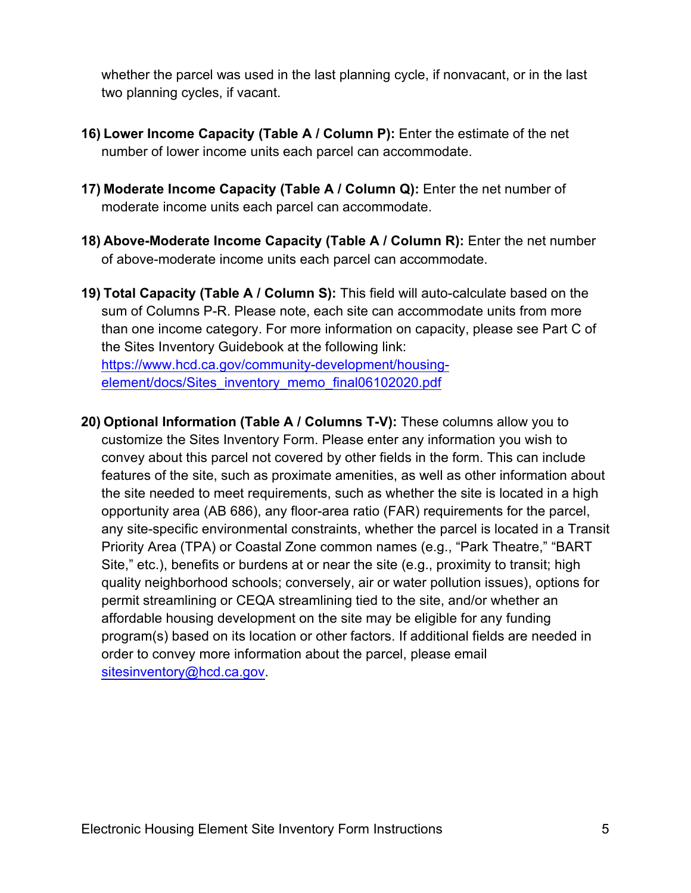whether the parcel was used in the last planning cycle, if nonvacant, or in the last two planning cycles, if vacant.

- **16) Lower Income Capacity (Table A / Column P):** Enter the estimate of the net number of lower income units each parcel can accommodate.
- **17) Moderate Income Capacity (Table A / Column Q):** Enter the net number of moderate income units each parcel can accommodate.
- **18) Above-Moderate Income Capacity (Table A / Column R):** Enter the net number of above-moderate income units each parcel can accommodate.
- **19) Total Capacity (Table A / Column S):** This field will auto-calculate based on the sum of Columns P-R. Please note, each site can accommodate units from more than one income category. For more information on capacity, please see Part C of the Sites Inventory Guidebook at the following link: [https://www.hcd.ca.gov/community-development/housing](https://www.hcd.ca.gov/community-development/housing-element/docs/sites_inventory_memo_final06102020.pdf)element/docs/Sites\_inventory\_memo\_final06102020.pdf
- **20) Optional Information (Table A / Columns T-V):** These columns allow you to customize the Sites Inventory Form. Please enter any information you wish to convey about this parcel not covered by other fields in the form. This can include features of the site, such as proximate amenities, as well as other information about the site needed to meet requirements, such as whether the site is located in a high opportunity area (AB 686), any floor-area ratio (FAR) requirements for the parcel, any site-specific environmental constraints, whether the parcel is located in a Transit Priority Area (TPA) or Coastal Zone common names (e.g., "Park Theatre," "BART Site," etc.), benefits or burdens at or near the site (e.g., proximity to transit; high quality neighborhood schools; conversely, air or water pollution issues), options for permit streamlining or CEQA streamlining tied to the site, and/or whether an affordable housing development on the site may be eligible for any funding program(s) based on its location or other factors. If additional fields are needed in order to convey more information about the parcel, please email [sitesinventory@hcd.ca.gov.](mailto:sitesinventory@hcd.ca.gov)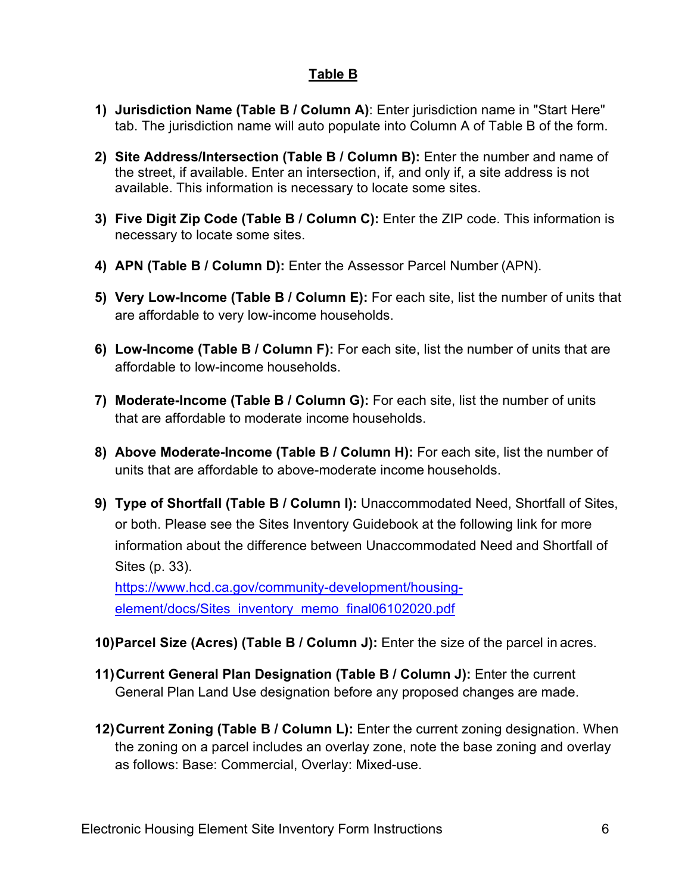## **Table B**

- **1) Jurisdiction Name (Table B / Column A)**: Enter jurisdiction name in "Start Here" tab. The jurisdiction name will auto populate into Column A of Table B of the form.
- **2) Site Address/Intersection (Table B / Column B):** Enter the number and name of the street, if available. Enter an intersection, if, and only if, a site address is not available. This information is necessary to locate some sites.
- **3) Five Digit Zip Code (Table B / Column C):** Enter the ZIP code. This information is necessary to locate some sites.
- **4) APN (Table B / Column D):** Enter the Assessor Parcel Number (APN).
- **5) Very Low-Income (Table B / Column E):** For each site, list the number of units that are affordable to very low-income households.
- **6) Low-Income (Table B / Column F):** For each site, list the number of units that are affordable to low-income households.
- **7) Moderate-Income (Table B / Column G):** For each site, list the number of units that are affordable to moderate income households.
- **8) Above Moderate-Income (Table B / Column H):** For each site, list the number of units that are affordable to above-moderate income households.
- **9) Type of Shortfall (Table B / Column I):** Unaccommodated Need, Shortfall of Sites, or both. Please see the Sites Inventory Guidebook at the following link for more information about the difference between Unaccommodated Need and Shortfall of Sites (p. 33).

[https://www.hcd.ca.gov/community-development/housing](https://www.hcd.ca.gov/community-development/housing-element/docs/sites_inventory_memo_final06102020.pdf)element/docs/Sites\_inventory\_memo\_final06102020.pdf

- **10)Parcel Size (Acres) (Table B / Column J):** Enter the size of the parcel in acres.
- **11)Current General Plan Designation (Table B / Column J):** Enter the current General Plan Land Use designation before any proposed changes are made.
- **12)Current Zoning (Table B / Column L):** Enter the current zoning designation. When the zoning on a parcel includes an overlay zone, note the base zoning and overlay as follows: Base: Commercial, Overlay: Mixed-use.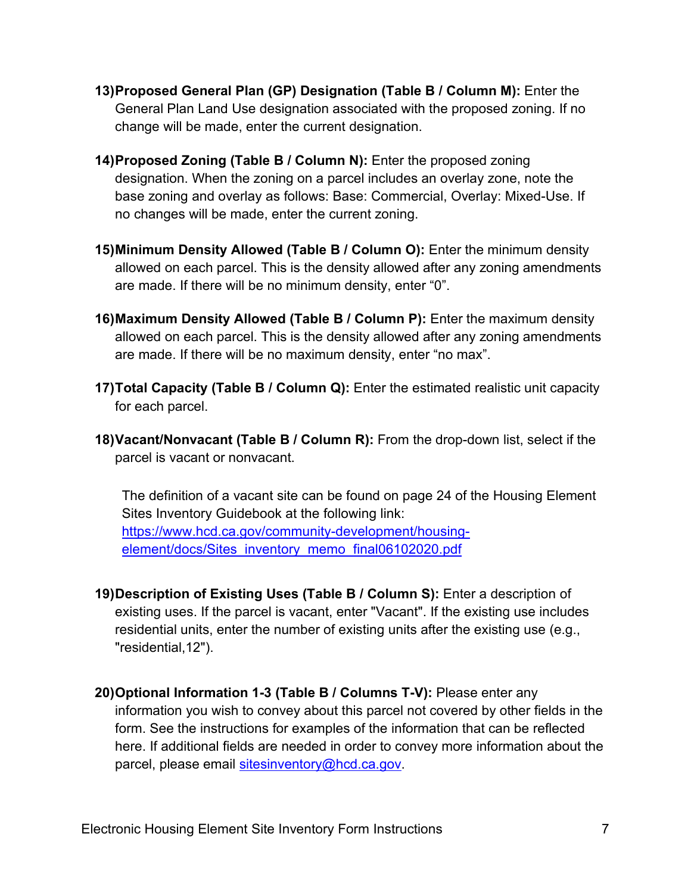- **13)Proposed General Plan (GP) Designation (Table B / Column M):** Enter the General Plan Land Use designation associated with the proposed zoning. If no change will be made, enter the current designation.
- **14)Proposed Zoning (Table B / Column N):** Enter the proposed zoning designation. When the zoning on a parcel includes an overlay zone, note the base zoning and overlay as follows: Base: Commercial, Overlay: Mixed-Use. If no changes will be made, enter the current zoning.
- **15)Minimum Density Allowed (Table B / Column O):** Enter the minimum density allowed on each parcel. This is the density allowed after any zoning amendments are made. If there will be no minimum density, enter "0".
- **16)Maximum Density Allowed (Table B / Column P):** Enter the maximum density allowed on each parcel. This is the density allowed after any zoning amendments are made. If there will be no maximum density, enter "no max".
- **17)Total Capacity (Table B / Column Q):** Enter the estimated realistic unit capacity for each parcel.
- **18)Vacant/Nonvacant (Table B / Column R):** From the drop-down list, select if the parcel is vacant or nonvacant.

The definition of a vacant site can be found on page 24 of the Housing Element Sites Inventory Guidebook at the following link: [https://www.hcd.ca.gov/community-development/housing](https://www.hcd.ca.gov/community-development/housing-element/docs/sites_inventory_memo_final06102020.pdf)element/docs/Sites\_inventory\_memo\_final06102020.pdf

- **19)Description of Existing Uses (Table B / Column S):** Enter a description of existing uses. If the parcel is vacant, enter "Vacant". If the existing use includes residential units, enter the number of existing units after the existing use (e.g., "residential,12").
- **20)Optional Information 1-3 (Table B / Columns T-V):** Please enter any information you wish to convey about this parcel not covered by other fields in the form. See the instructions for examples of the information that can be reflected here. If additional fields are needed in order to convey more information about the parcel, please email [sitesinventory@hcd.ca.gov.](mailto:sitesinventory@hcd.ca.gov)